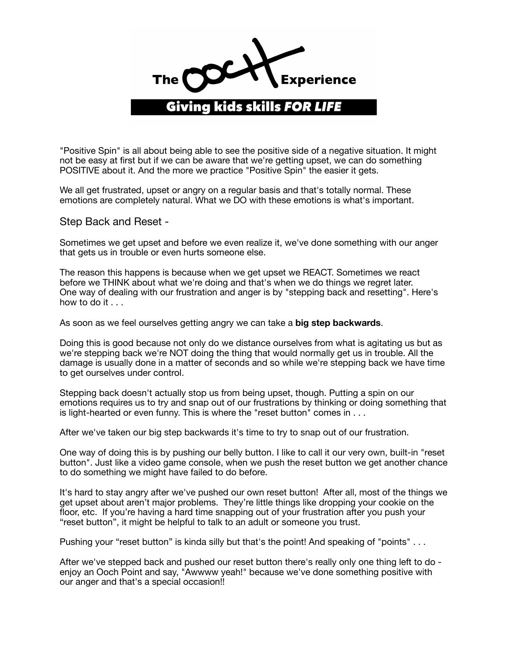

"Positive Spin" is all about being able to see the positive side of a negative situation. It might not be easy at first but if we can be aware that we're getting upset, we can do something POSITIVE about it. And the more we practice "Positive Spin" the easier it gets.

We all get frustrated, upset or angry on a regular basis and that's totally normal. These emotions are completely natural. What we DO with these emotions is what's important.

Step Back and Reset -

Sometimes we get upset and before we even realize it, we've done something with our anger that gets us in trouble or even hurts someone else.

The reason this happens is because when we get upset we REACT. Sometimes we react before we THINK about what we're doing and that's when we do things we regret later. One way of dealing with our frustration and anger is by "stepping back and resetting". Here's how to do it . . .

As soon as we feel ourselves getting angry we can take a **big step backwards**.

Doing this is good because not only do we distance ourselves from what is agitating us but as we're stepping back we're NOT doing the thing that would normally get us in trouble. All the damage is usually done in a matter of seconds and so while we're stepping back we have time to get ourselves under control.

Stepping back doesn't actually stop us from being upset, though. Putting a spin on our emotions requires us to try and snap out of our frustrations by thinking or doing something that is light-hearted or even funny. This is where the "reset button" comes in . . .

After we've taken our big step backwards it's time to try to snap out of our frustration.

One way of doing this is by pushing our belly button. I like to call it our very own, built-in "reset button". Just like a video game console, when we push the reset button we get another chance to do something we might have failed to do before.

It's hard to stay angry after we've pushed our own reset button! After all, most of the things we get upset about aren't major problems. They're little things like dropping your cookie on the floor, etc. If you're having a hard time snapping out of your frustration after you push your "reset button", it might be helpful to talk to an adult or someone you trust.

Pushing your "reset button" is kinda silly but that's the point! And speaking of "points"...

After we've stepped back and pushed our reset button there's really only one thing left to do enjoy an Ooch Point and say, "Awwww yeah!" because we've done something positive with our anger and that's a special occasion!!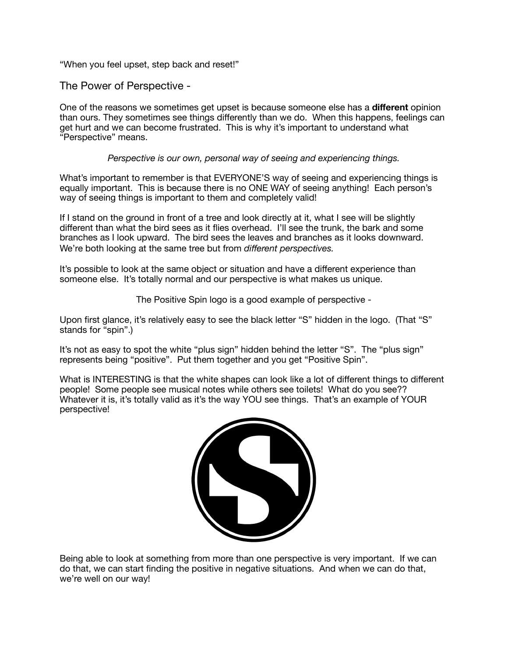"When you feel upset, step back and reset!"

The Power of Perspective -

One of the reasons we sometimes get upset is because someone else has a **different** opinion than ours. They sometimes see things differently than we do. When this happens, feelings can get hurt and we can become frustrated. This is why it's important to understand what "Perspective" means.

*Perspective is our own, personal way of seeing and experiencing things.* 

What's important to remember is that EVERYONE'S way of seeing and experiencing things is equally important. This is because there is no ONE WAY of seeing anything! Each person's way of seeing things is important to them and completely valid!

If I stand on the ground in front of a tree and look directly at it, what I see will be slightly different than what the bird sees as it flies overhead. I'll see the trunk, the bark and some branches as I look upward. The bird sees the leaves and branches as it looks downward. We're both looking at the same tree but from *different perspectives.* 

It's possible to look at the same object or situation and have a different experience than someone else. It's totally normal and our perspective is what makes us unique.

The Positive Spin logo is a good example of perspective -

Upon first glance, it's relatively easy to see the black letter "S" hidden in the logo. (That "S" stands for "spin".)

It's not as easy to spot the white "plus sign" hidden behind the letter "S". The "plus sign" represents being "positive". Put them together and you get "Positive Spin".

What is INTERESTING is that the white shapes can look like a lot of different things to different people! Some people see musical notes while others see toilets! What do you see?? Whatever it is, it's totally valid as it's the way YOU see things. That's an example of YOUR perspective!



Being able to look at something from more than one perspective is very important. If we can do that, we can start finding the positive in negative situations. And when we can do that, we're well on our way!